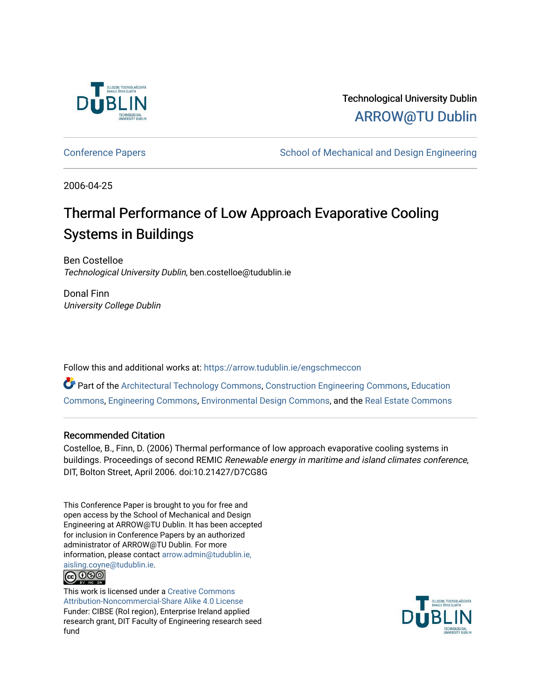

## Technological University Dublin [ARROW@TU Dublin](https://arrow.tudublin.ie/)

[Conference Papers](https://arrow.tudublin.ie/engschmeccon) **School of Mechanical and Design Engineering** School of Mechanical and Design Engineering

2006-04-25

# Thermal Performance of Low Approach Evaporative Cooling Systems in Buildings

Ben Costelloe Technological University Dublin, ben.costelloe@tudublin.ie

Donal Finn University College Dublin

Follow this and additional works at: [https://arrow.tudublin.ie/engschmeccon](https://arrow.tudublin.ie/engschmeccon?utm_source=arrow.tudublin.ie%2Fengschmeccon%2F70&utm_medium=PDF&utm_campaign=PDFCoverPages) 

Part of the [Architectural Technology Commons](http://network.bepress.com/hgg/discipline/1194?utm_source=arrow.tudublin.ie%2Fengschmeccon%2F70&utm_medium=PDF&utm_campaign=PDFCoverPages), [Construction Engineering Commons](http://network.bepress.com/hgg/discipline/775?utm_source=arrow.tudublin.ie%2Fengschmeccon%2F70&utm_medium=PDF&utm_campaign=PDFCoverPages), [Education](http://network.bepress.com/hgg/discipline/784?utm_source=arrow.tudublin.ie%2Fengschmeccon%2F70&utm_medium=PDF&utm_campaign=PDFCoverPages)  [Commons](http://network.bepress.com/hgg/discipline/784?utm_source=arrow.tudublin.ie%2Fengschmeccon%2F70&utm_medium=PDF&utm_campaign=PDFCoverPages), [Engineering Commons](http://network.bepress.com/hgg/discipline/217?utm_source=arrow.tudublin.ie%2Fengschmeccon%2F70&utm_medium=PDF&utm_campaign=PDFCoverPages), [Environmental Design Commons](http://network.bepress.com/hgg/discipline/777?utm_source=arrow.tudublin.ie%2Fengschmeccon%2F70&utm_medium=PDF&utm_campaign=PDFCoverPages), and the [Real Estate Commons](http://network.bepress.com/hgg/discipline/641?utm_source=arrow.tudublin.ie%2Fengschmeccon%2F70&utm_medium=PDF&utm_campaign=PDFCoverPages) 

#### Recommended Citation

Costelloe, B., Finn, D. (2006) Thermal performance of low approach evaporative cooling systems in buildings. Proceedings of second REMIC Renewable energy in maritime and island climates conference, DIT, Bolton Street, April 2006. doi:10.21427/D7CG8G

This Conference Paper is brought to you for free and open access by the School of Mechanical and Design Engineering at ARROW@TU Dublin. It has been accepted for inclusion in Conference Papers by an authorized administrator of ARROW@TU Dublin. For more information, please contact [arrow.admin@tudublin.ie,](mailto:arrow.admin@tudublin.ie,%20aisling.coyne@tudublin.ie)  [aisling.coyne@tudublin.ie.](mailto:arrow.admin@tudublin.ie,%20aisling.coyne@tudublin.ie)



This work is licensed under a [Creative Commons](http://creativecommons.org/licenses/by-nc-sa/4.0/) [Attribution-Noncommercial-Share Alike 4.0 License](http://creativecommons.org/licenses/by-nc-sa/4.0/) Funder: CIBSE (RoI region), Enterprise Ireland applied research grant, DIT Faculty of Engineering research seed fund

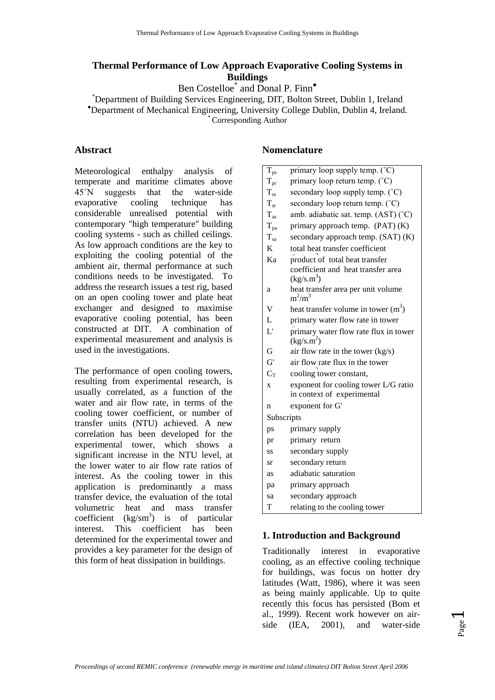#### **Thermal Performance of Low Approach Evaporative Cooling Systems in Buildings**

Ben Costelloe<sup>\*</sup> and Donal P. Finn<sup>•</sup>

\*Department of Building Services Engineering, DIT, Bolton Street, Dublin 1, Ireland \*Department of Mechanical Engineering, University College Dublin Dublin 4, Ireland Department of Mechanical Engineering, University College Dublin, Dublin 4, Ireland. \* Corresponding Author

#### **Abstract**

Meteorological enthalpy analysis of temperate and maritime climates above 45˚N suggests that the water-side evaporative cooling technique has considerable unrealised potential with contemporary "high temperature" building cooling systems - such as chilled ceilings. As low approach conditions are the key to exploiting the cooling potential of the ambient air, thermal performance at such conditions needs to be investigated. To address the research issues a test rig, based on an open cooling tower and plate heat exchanger and designed to maximise evaporative cooling potential, has been constructed at DIT. A combination of experimental measurement and analysis is used in the investigations.

The performance of open cooling towers, resulting from experimental research, is usually correlated, as a function of the water and air flow rate, in terms of the cooling tower coefficient, or number of transfer units (NTU) achieved. A new correlation has been developed for the experimental tower, which shows a significant increase in the NTU level, at the lower water to air flow rate ratios of interest. As the cooling tower in this application is predominantly a mass transfer device, the evaluation of the total volumetric heat and mass transfer coefficient  $(kg/m<sup>3</sup>)$  is of particular interest. This coefficient has been determined for the experimental tower and provides a key parameter for the design of this form of heat dissipation in buildings.

#### **Nomenclature**

| $T_{\rm ps}$            | primary loop supply temp. (°C)                  |  |  |  |  |
|-------------------------|-------------------------------------------------|--|--|--|--|
| $T_{pr}$                | primary loop return temp. (°C)                  |  |  |  |  |
| $T_{ss}$                | secondary loop supply temp. (°C)                |  |  |  |  |
| $T_{sr}$                | secondary loop return temp. (°C)                |  |  |  |  |
| $T_{\rm as}$            | amb. adiabatic sat. temp. (AST) (°C)            |  |  |  |  |
| $T_{pa}$                | primary approach temp. (PAT) (K)                |  |  |  |  |
| $T_{sa}$                | secondary approach temp. (SAT) (K)              |  |  |  |  |
| K                       | total heat transfer coefficient                 |  |  |  |  |
| Ka                      | product of total heat transfer                  |  |  |  |  |
|                         | coefficient and heat transfer area              |  |  |  |  |
|                         | (kg/s.m <sup>3</sup> )                          |  |  |  |  |
| a                       | heat transfer area per unit volume<br>$m^2/m^3$ |  |  |  |  |
| $\overline{\mathsf{V}}$ | heat transfer volume in tower $(m^3)$           |  |  |  |  |
| L                       | primary water flow rate in tower                |  |  |  |  |
| $\mathbf{L}^{\prime}$   | primary water flow rate flux in tower           |  |  |  |  |
|                         | (kg/s.m <sup>2</sup> )                          |  |  |  |  |
| G                       | air flow rate in the tower (kg/s)               |  |  |  |  |
| G'                      | air flow rate flux in the tower                 |  |  |  |  |
| $C_T$                   | cooling tower constant,                         |  |  |  |  |
| X                       | exponent for cooling tower L/G ratio            |  |  |  |  |
|                         | in context of experimental                      |  |  |  |  |
| n                       | exponent for G'                                 |  |  |  |  |
| Subscripts              |                                                 |  |  |  |  |
| ps                      | primary supply                                  |  |  |  |  |
| pr                      | primary return                                  |  |  |  |  |
| SS                      | secondary supply                                |  |  |  |  |
| sr                      | secondary return                                |  |  |  |  |
| as                      | adiabatic saturation                            |  |  |  |  |
| pa                      | primary approach                                |  |  |  |  |
| sa                      | secondary approach                              |  |  |  |  |
| T                       | relating to the cooling tower                   |  |  |  |  |
|                         |                                                 |  |  |  |  |

#### **1. Introduction and Background**

Traditionally interest in evaporative cooling, as an effective cooling technique for buildings, was focus on hotter dry latitudes (Watt, 1986), where it was seen as being mainly applicable. Up to quite recently this focus has persisted (Bom et al., 1999). Recent work however on airside (IEA, 2001), and water-side

Page  $\overline{\phantom{0}}$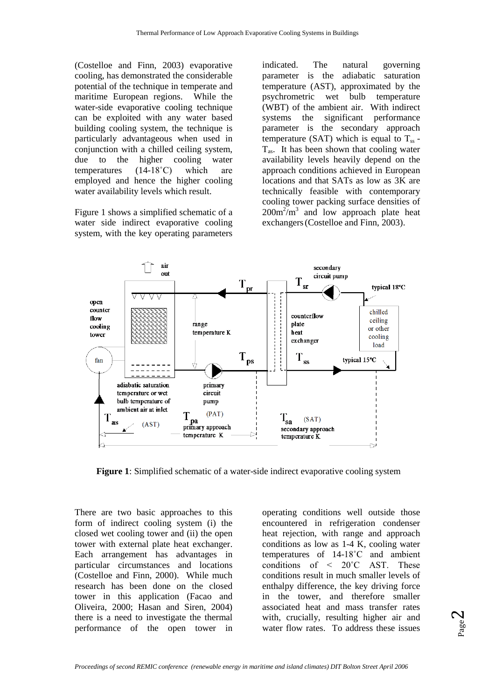(Costelloe and Finn, 2003) evaporative cooling, has demonstrated the considerable potential of the technique in temperate and maritime European regions. While the water-side evaporative cooling technique can be exploited with any water based building cooling system, the technique is particularly advantageous when used in conjunction with a chilled ceiling system, due to the higher cooling water temperatures (14-18˚C) which are employed and hence the higher cooling water availability levels which result.

Figure 1 shows a simplified schematic of a water side indirect evaporative cooling system, with the key operating parameters

indicated. The natural governing parameter is the adiabatic saturation temperature (AST), approximated by the psychrometric wet bulb temperature (WBT) of the ambient air. With indirect systems the significant performance systems the parameter is the secondary approach temperature (SAT) which is equal to  $T_{ss}$  - $T_{\text{as}}$ . It has been shown that cooling water availability levels heavily depend on the approach conditions achieved in European locations and that SATs as low as 3K are technically feasible with contemporary cooling tower packing surface densities of  $200m^2/m^3$  and low approach plate heat exchangers(Costelloe and Finn, 2003).



**Figure 1**: Simplified schematic of a water-side indirect evaporative cooling system

There are two basic approaches to this form of indirect cooling system (i) the closed wet cooling tower and (ii) the open tower with external plate heat exchanger. Each arrangement has advantages in particular circumstances and locations (Costelloe and Finn, 2000). While much research has been done on the closed tower in this application (Facao and Oliveira, 2000; Hasan and Siren, 2004) there is a need to investigate the thermal performance of the open tower in

operating conditions well outside those encountered in refrigeration condenser heat rejection, with range and approach conditions as low as 1-4 K, cooling water temperatures of 14-18˚C and ambient conditions of < 20˚C AST. These conditions result in much smaller levels of enthalpy difference, the key driving force in the tower, and therefore smaller associated heat and mass transfer rates with, crucially, resulting higher air and water flow rates. To address these issues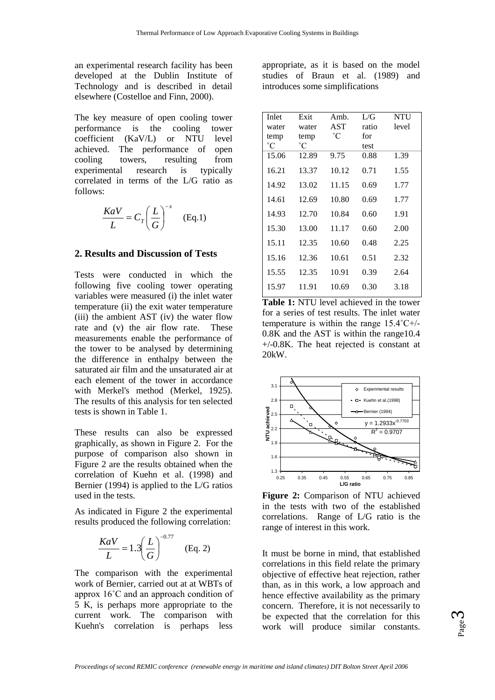an experimental research facility has been developed at the Dublin Institute of Technology and is described in detail elsewhere (Costelloe and Finn, 2000).

The key measure of open cooling tower performance is the cooling tower<br>coefficient (KaV/L) or NTU level  $coefficient$   $(KaV/L)$  or NTU achieved. The performance of open cooling towers, resulting from<br>experimental research is typically experimental research is correlated in terms of the L/G ratio as follows:

$$
\frac{KaV}{L} = C_T \left(\frac{L}{G}\right)^{-x} \quad \text{(Eq.1)}
$$

#### **2. Results and Discussion of Tests**

Tests were conducted in which the following five cooling tower operating variables were measured (i) the inlet water temperature (ii) the exit water temperature (iii) the ambient AST (iv) the water flow rate and (v) the air flow rate. These measurements enable the performance of the tower to be analysed by determining the difference in enthalpy between the saturated air film and the unsaturated air at each element of the tower in accordance with Merkel's method (Merkel, 1925). The results of this analysis for ten selected tests is shown in Table 1.

These results can also be expressed graphically, as shown in Figure 2. For the purpose of comparison also shown in Figure 2 are the results obtained when the correlation of Kuehn et al. (1998) and Bernier (1994) is applied to the L/G ratios used in the tests.

As indicated in Figure 2 the experimental results produced the following correlation:

$$
\frac{KaV}{L} = 1.3 \left(\frac{L}{G}\right)^{-0.77} \quad \text{(Eq. 2)}
$$

The comparison with the experimental work of Bernier, carried out at at WBTs of approx 16˚C and an approach condition of 5 K, is perhaps more appropriate to the current work. The comparison with Kuehn's correlation is perhaps less

appropriate, as it is based on the model studies of Braun et al. (1989) and introduces some simplifications

| Inlet        | Exit         | $Amb$ . | L/G   | <b>NTU</b> |
|--------------|--------------|---------|-------|------------|
| water        | water        | AST     | ratio | level      |
| temp         | temp         | °C      | for   |            |
| $^{\circ}$ C | $^{\circ}$ C |         | test  |            |
| 15.06        | 12.89        | 9.75    | 0.88  | 1.39       |
| 16.21        | 13.37        | 10.12   | 0.71  | 1.55       |
| 14.92        | 13.02        | 11.15   | 0.69  | 1.77       |
| 14.61        | 12.69        | 10.80   | 0.69  | 1.77       |
| 14.93        | 12.70        | 10.84   | 0.60  | 1.91       |
| 15.30        | 13.00        | 11.17   | 0.60  | 2.00       |
| 15.11        | 12.35        | 10.60   | 0.48  | 2.25       |
| 15.16        | 12.36        | 10.61   | 0.51  | 2.32       |
| 15.55        | 12.35        | 10.91   | 0.39  | 2.64       |
| 15.97        | 11.91        | 10.69   | 0.30  | 3.18       |

**Table 1:** NTU level achieved in the tower for a series of test results. The inlet water temperature is within the range 15.4˚C+/- 0.8K and the AST is within the range10.4 +/-0.8K. The heat rejected is constant at 20kW.



**Figure 2:** Comparison of NTU achieved in the tests with two of the established correlations. Range of L/G ratio is the range of interest in this work.

It must be borne in mind, that established correlations in this field relate the primary objective of effective heat rejection, rather than, as in this work, a low approach and hence effective availability as the primary concern. Therefore, it is not necessarily to be expected that the correlation for this work will produce similar constants.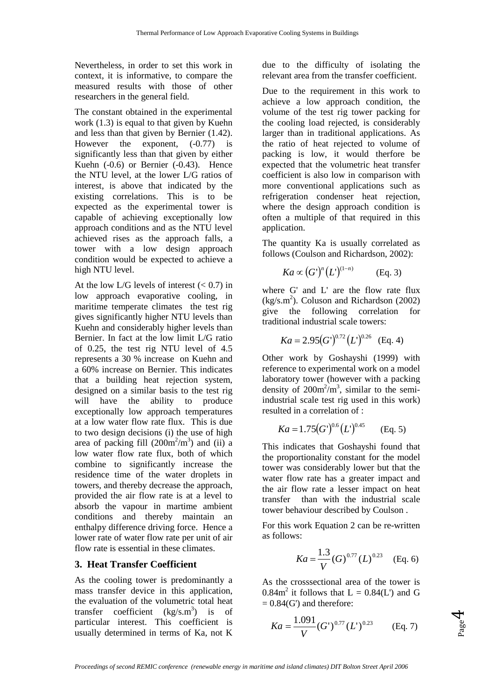Nevertheless, in order to set this work in context, it is informative, to compare the measured results with those of other researchers in the general field.

The constant obtained in the experimental work (1.3) is equal to that given by Kuehn and less than that given by Bernier (1.42). However the exponent,  $(-0.77)$  is significantly less than that given by either Kuehn (-0.6) or Bernier (-0.43). Hence the NTU level, at the lower L/G ratios of interest, is above that indicated by the existing correlations. This is to be expected as the experimental tower is capable of achieving exceptionally low approach conditions and as the NTU level achieved rises as the approach falls, a tower with a low design approach condition would be expected to achieve a high NTU level.

At the low L/G levels of interest  $(< 0.7)$  in low approach evaporative cooling, in maritime temperate climates the test rig gives significantly higher NTU levels than Kuehn and considerably higher levels than Bernier. In fact at the low limit L/G ratio of 0.25, the test rig NTU level of 4.5 represents a 30 % increase on Kuehn and a 60% increase on Bernier. This indicates that a building heat rejection system, designed on a similar basis to the test rig will have the ability to produce exceptionally low approach temperatures at a low water flow rate flux. This is due to two design decisions (i) the use of high area of packing fill  $(200m^2/m^3)$  and (ii) a low water flow rate flux, both of which combine to significantly increase the residence time of the water droplets in towers, and thereby decrease the approach, provided the air flow rate is at a level to absorb the vapour in martime ambient conditions and thereby maintain an enthalpy difference driving force. Hence a lower rate of water flow rate per unit of air flow rate is essential in these climates.

#### **3. Heat Transfer Coefficient**

As the cooling tower is predominantly a mass transfer device in this application, the evaluation of the volumetric total heat transfer coefficient  $(kg/s.m^3)$  is of particular interest. This coefficient is usually determined in terms of Ka, not K due to the difficulty of isolating the relevant area from the transfer coefficient.

Due to the requirement in this work to achieve a low approach condition, the volume of the test rig tower packing for the cooling load rejected, is considerably larger than in traditional applications. As the ratio of heat rejected to volume of packing is low, it would therfore be expected that the volumetric heat transfer coefficient is also low in comparison with more conventional applications such as refrigeration condenser heat rejection, where the design approach condition is often a multiple of that required in this application.

The quantity Ka is usually correlated as follows (Coulson and Richardson, 2002):

$$
Ka \propto (G')^n (L')^{(1-n)} \qquad \text{(Eq. 3)}
$$

where G' and L' are the flow rate flux  $(kg/s.m<sup>2</sup>)$ . Coluson and Richardson (2002) give the following correlation for traditional industrial scale towers:

$$
Ka = 2.95(G')^{0.72}(L')^{0.26}
$$
 (Eq. 4)

Other work by Goshayshi (1999) with reference to experimental work on a model laboratory tower (however with a packing density of  $200m^2/m^3$ , similar to the semiindustrial scale test rig used in this work) resulted in a correlation of :

$$
Ka = 1.75(G')^{0.6}(L')^{0.45}
$$
 (Eq. 5)

This indicates that Goshayshi found that the proportionality constant for the model tower was considerably lower but that the water flow rate has a greater impact and the air flow rate a lesser impact on heat transfer than with the industrial scale tower behaviour described by Coulson .

For this work Equation 2 can be re-written as follows:

$$
Ka = \frac{1.3}{V} (G)^{0.77} (L)^{0.23}
$$
 (Eq. 6)

As the crosssectional area of the tower is 0.84 $m^2$  it follows that  $L = 0.84(L')$  and G  $= 0.84$ (G') and therefore:

$$
Ka = \frac{1.091}{V} (G')^{0.77} (L')^{0.23} \qquad \text{(Eq. 7)}
$$

Page 4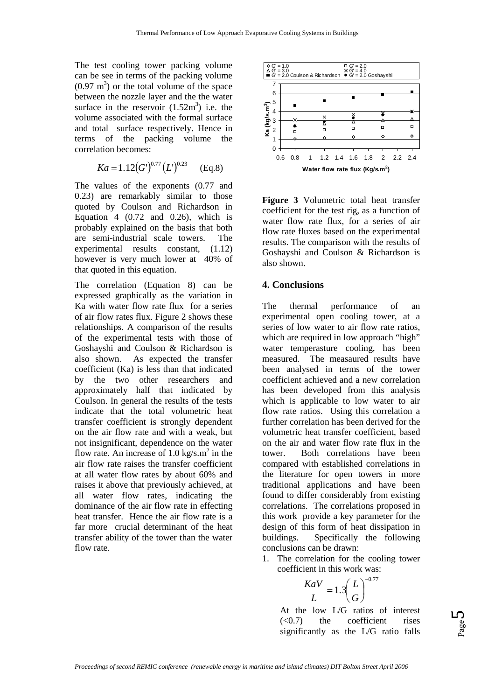The test cooling tower packing volume can be see in terms of the packing volume  $(0.97 \text{ m}^3)$  or the total volume of the space between the nozzle layer and the the water surface in the reservoir  $(1.52m^3)$  i.e. the volume associated with the formal surface and total surface respectively. Hence in terms of the packing volume the correlation becomes:

$$
Ka = 1.12(G')^{0.77}(L')^{0.23}
$$
 (Eq.8)

The values of the exponents (0.77 and 0.23) are remarkably similar to those quoted by Coulson and Richardson in Equation 4  $(0.72 \text{ and } 0.26)$ , which is probably explained on the basis that both are semi-industrial scale towers. The experimental results constant, (1.12) however is very much lower at 40% of that quoted in this equation.

The correlation (Equation 8) can be expressed graphically as the variation in Ka with water flow rate flux for a series of air flow rates flux. Figure 2 shows these relationships. A comparison of the results of the experimental tests with those of Goshayshi and Coulson & Richardson is also shown. As expected the transfer coefficient (Ka) is less than that indicated by the two other researchers and approximately half that indicated by Coulson. In general the results of the tests indicate that the total volumetric heat transfer coefficient is strongly dependent on the air flow rate and with a weak, but not insignificant, dependence on the water flow rate. An increase of  $1.0 \text{ kg/s} \cdot \text{m}^2$  in the air flow rate raises the transfer coefficient at all water flow rates by about 60% and raises it above that previously achieved, at all water flow rates, indicating the dominance of the air flow rate in effecting heat transfer. Hence the air flow rate is a far more crucial determinant of the heat transfer ability of the tower than the water flow rate.



**Figure 3** Volumetric total heat transfer coefficient for the test rig, as a function of water flow rate flux, for a series of air flow rate fluxes based on the experimental results. The comparison with the results of Goshayshi and Coulson & Richardson is also shown.

#### **4. Conclusions**

The thermal performance of an experimental open cooling tower, at a series of low water to air flow rate ratios, which are required in low approach "high" water temperasture cooling, has been<br>measured. The measured results have The measaured results have been analysed in terms of the tower coefficient achieved and a new correlation has been developed from this analysis which is applicable to low water to air flow rate ratios. Using this correlation a further correlation has been derived for the volumetric heat transfer coefficient, based on the air and water flow rate flux in the tower. Both correlations have been compared with established correlations in the literature for open towers in more traditional applications and have been found to differ considerably from existing correlations. The correlations proposed in this work provide a key parameter for the design of this form of heat dissipation in buildings. Specifically the following conclusions can be drawn:

1. The correlation for the cooling tower coefficient in this work was:

$$
\frac{KaV}{L} = 1.3 \left(\frac{L}{G}\right)^{-0.77}
$$

At the low L/G ratios of interest  $( $0.7$ )$  the coefficient rises significantly as the L/G ratio falls